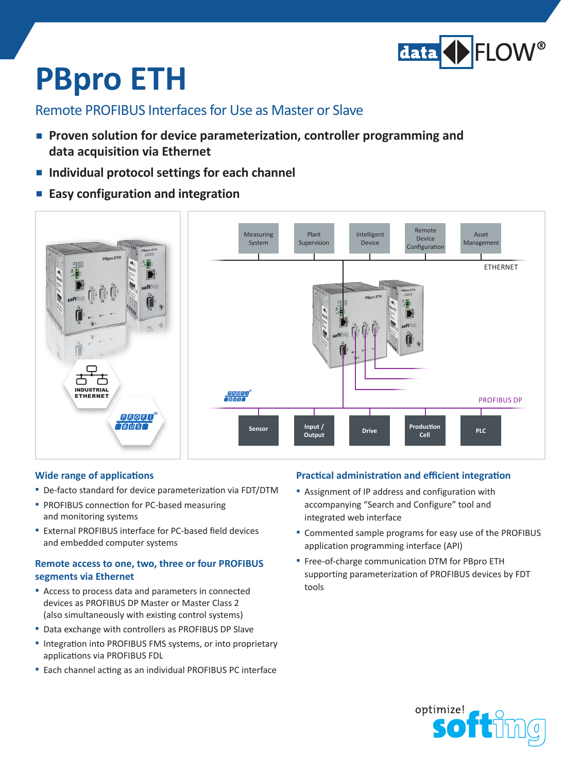

# **PBpro ETH**

### Remote PROFIBUS Interfaces for Use as Master or Slave

- **Proven solution for device parameterization, controller programming and data acquisition via Ethernet**
- **Individual protocol settings for each channel**
- **▪ Easy configuration and integration**



#### **Wide range of applications**

- De-facto standard for device parameterization via FDT/DTM
- **PROFIBUS connection for PC-based measuring** and monitoring systems
- External PROFIBUS interface for PC-based field devices and embedded computer systems

#### **Remote access to one, two, three or four PROFIBUS segments via Ethernet**

- Access to process data and parameters in connected devices as PROFIBUS DP Master or Master Class 2 (also simultaneously with existing control systems)
- Data exchange with controllers as PROFIBUS DP Slave
- Integration into PROFIBUS FMS systems, or into proprietary applications via PROFIBUS FDL
- **▪**▪ Each channel acting as an individual PROFIBUS PC interface

#### **Practical administration and efficient integration**

- Assignment of IP address and configuration with accompanying "Search and Configure" tool and integrated web interface
- Commented sample programs for easy use of the PROFIBUS application programming interface (API)
- **■** Free-of-charge communication DTM for PBpro ETH supporting parameterization of PROFIBUS devices by FDT tools